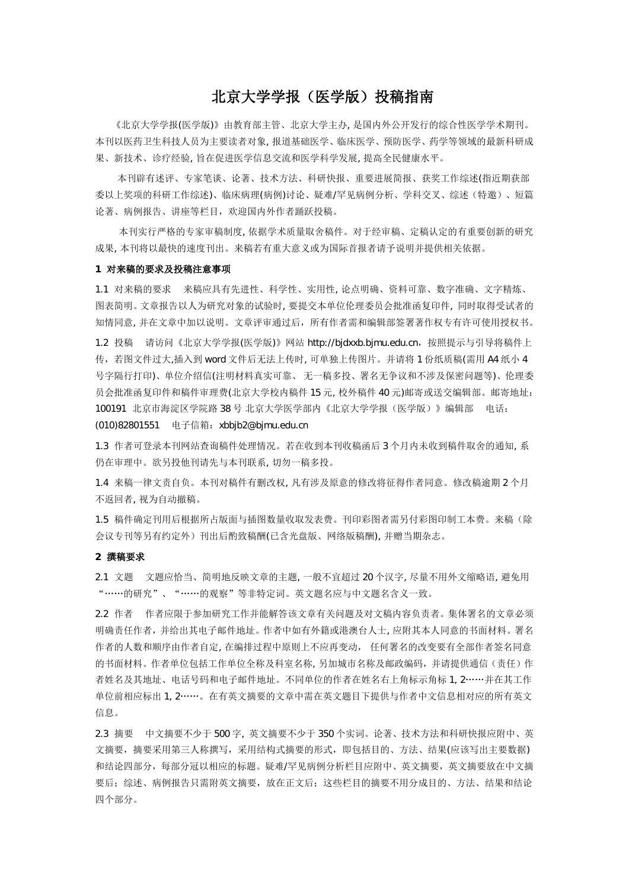# 北京大学学报(医学版)投稿指南

《北京大学学报(医学版)》由教育部主管、北京大学主办, 是国内外公开发行的综合性医学学术期刊。 本刊以医药卫生科技人员为主要读者对象, 报道基础医学、临床医学、预防医学、药学等领域的最新科研成 果、新技术、诊疗经验, 旨在促进医学信息交流和医学科学发展, 提高全民健康水平。

本刊辟有述评、专家笔谈、论著、技术方法、科研快报、重要进展简报、获奖工作综述(指近期获部 委以上奖项的科研工作综述)、临床病理(病例)讨论、疑难/罕见病例分析、学科交叉、综述(特邀)、短篇 论著、病例报告、讲座等栏目,欢迎国内外作者踊跃投稿。

本刊实行严格的专家审稿制度, 依据学术质量取舍稿件。对于经审稿、定稿认定的有重要创新的研究 成果, 本刊将以最快的速度刊出。来稿若有重大意义或为国际首报者请予说明并提供相关依据。

#### **1** 对来稿的要求及投稿注意事项

1.1 对来稿的要求 来稿应具有先进性、科学性、实用性, 论点明确、资料可靠、数字准确、文字精炼、 图表简明。文章报告以人为研究对象的试验时, 要提交本单位伦理委员会批准函复印件, 同时取得受试者的 知情同意, 并在文章中加以说明。文章评审通过后,所有作者需和编辑部签署著作权专有许可使用授权书。

1.2 投稿 请访问《北京大学学报(医学版)》网站 http://bjdxxb.bjmu.edu.cn, 按照提示与引导将稿件上 传,若图文件过大,插入到 word 文件后无法上传时, 可单独上传图片。并请将 1 份纸质稿(需用 A4 纸小 4 号字隔行打印)、单位介绍信(注明材料真实可靠、 无一稿多投、署名无争议和不涉及保密问题等)、伦理委 员会批准函复印件和稿件审理费(北京大学校内稿件 15 元, 校外稿件 40 元)邮寄或送交编辑部。邮寄地址: 100191 北京市海淀区学院路 38 号 北京大学医学部内《北京大学学报(医学版)》编辑部 电话: (010)82801551 电子信箱:xbbjb2@bjmu.edu.cn

1.3 作者可登录本刊网站查询稿件处理情况。若在收到本刊收稿函后 3 个月内未收到稿件取舍的通知, 系 仍在审理中。欲另投他刊请先与本刊联系, 切勿一稿多投。

1.4 来稿一律文责自负。本刊对稿件有删改权, 凡有涉及原意的修改将征得作者同意。修改稿逾期 2 个月 不返回者, 视为自动撤稿。

1.5 稿件确定刊用后根据所占版面与插图数量收取发表费。刊印彩图者需另付彩图印制工本费。来稿(除 会议专刊等另有约定外)刊出后酌致稿酬(已含光盘版、网络版稿酬), 并赠当期杂志。

#### **2** 撰稿要求

2.1 文题 文题应恰当、简明地反映文章的主题, 一般不宜超过 20 个汉字, 尽量不用外文缩略语, 避免用 "……的研究"、"……的观察"等非特定词。英文题名应与中文题名含义一致。

2.2 作者 作者应限于参加研究工作并能解答该文章有关问题及对文稿内容负责者。集体署名的文章必须 明确责任作者,并给出其电子邮件地址。作者中如有外籍或港澳台人士, 应附其本人同意的书面材料。署名 作者的人数和顺序由作者自定, 在编排过程中原则上不应再变动, 任何署名的改变要有全部作者签名同意 的书面材料。作者单位包括工作单位全称及科室名称, 另加城市名称及邮政编码, 并请提供通信(责任)作 者姓名及其地址、电话号码和电子邮件地址。不同单位的作者在姓名右上角标示角标 1, 2……并在其工作 单位前相应标出 1, 2……。在有英文摘要的文章中需在英文题目下提供与作者中文信息相对应的所有英文 信息。

2.3 摘要 中文摘要不少于 500 字, 英文摘要不少于 350 个实词。论著、技术方法和科研快报应附中、英 文摘要,摘要采用第三人称撰写,采用结构式摘要的形式,即包括目的、方法、结果(应该写出主要数据) 和结论四部分,每部分冠以相应的标题。疑难/罕见病例分析栏目应附中、英文摘要,英文摘要放在中文摘 要后;综述、病例报告只需附英文摘要,放在正文后;这些栏目的摘要不用分成目的、方法、结果和结论 四个部分。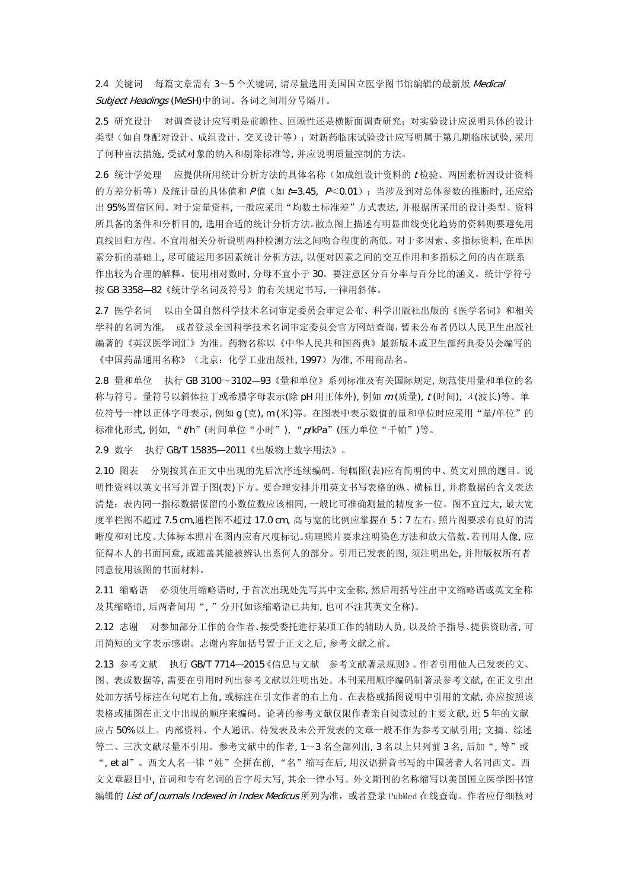2.4 关键词 每篇文章需有 3~5 个关键词, 请尽量选用美国国立医学图书馆编辑的最新版 Medical Subject Headings (MeSH)中的词。各词之间用分号隔开。

2.5 研究设计 对调查设计应写明是前瞻性、回顾性还是横断面调查研究;对实验设计应说明具体的设计 类型(如自身配对设计、成组设计、交叉设计等);对新药临床试验设计应写明属于第几期临床试验, 采用 了何种盲法措施, 受试对象的纳入和剔除标准等, 并应说明质量控制的方法。

2.6 统计学处理 应提供所用统计分析方法的具体名称(如成组设计资料的 <sup>t</sup> 检验、两因素析因设计资料 的方差分析等)及统计量的具体值和  $P$ 值(如 t=3.45,  $P$ <0.01); 当涉及到对总体参数的推断时, 还应给 出 95%置信区间。对于定量资料, 一般应采用"均数±标准差"方式表达, 并根据所采用的设计类型、资料 所具备的条件和分析目的, 选用合适的统计分析方法。散点图上描述有明显曲线变化趋势的资料则要避免用 直线回归方程。不宜用相关分析说明两种检测方法之间吻合程度的高低。对于多因素、多指标资料, 在单因 素分析的基础上, 尽可能运用多因素统计分析方法, 以便对因素之间的交互作用和多指标之间的内在联系 作出较为合理的解释。使用相对数时, 分母不宜小于 30。要注意区分百分率与百分比的涵义。统计学符号 按 GB 3358—82《统计学名词及符号》的有关规定书写, 一律用斜体。

2.7 医学名词 以由全国自然科学技术名词审定委员会审定公布、科学出版社出版的《医学名词》和相关 学科的名词为准, 或者登录全国科学技术名词审定委员会官方网站查询,暂未公布者仍以人民卫生出版社 编著的《英汉医学词汇》为准。药物名称以《中华人民共和国药典》最新版本或卫生部药典委员会编写的 《中国药品通用名称》(北京:化学工业出版社, 1997)为准, 不用商品名。

2.8 量和单位 执行 GB 3100~3102—93《量和单位》系列标准及有关国际规定, 规范使用量和单位的名 称与符号。量符号以斜体拉丁或希腊字母表示(除 pH 用正体外), 例如 <sup>m</sup> (质量), <sup>t</sup> (时间), <sup>λ</sup>(波长)等。单 位符号一律以正体字母表示, 例如 q (克), m (米)等。在图表中表示数值的量和单位时应采用"量/单位"的 标准化形式, 例如, "t/h"(时间单位"小时"), "p/kPa"(压力单位"千帕")等。

2.9 数字 执行 GB/T 15835—2011《出版物上数字用法》。

2.10 图表 分别按其在正文中出现的先后次序连续编码。每幅图(表)应有简明的中、英文对照的题目。说 明性资料以英文书写并置于图(表)下方。要合理安排并用英文书写表格的纵、横标目, 并将数据的含义表达 清楚;表内同一指标数据保留的小数位数应该相同, 一般比可准确测量的精度多一位。图不宜过大, 最大宽 度半栏图不超过 7.5 cm,通栏图不超过 17.0 cm, 高与宽的比例应掌握在 5∶7 左右。照片图要求有良好的清 晰度和对比度。大体标本照片在图内应有尺度标记。病理照片要求注明染色方法和放大倍数。若刊用人像, 应 征得本人的书面同意, 或遮盖其能被辨认出系何人的部分。引用已发表的图, 须注明出处, 并附版权所有者 同意使用该图的书面材料。

2.11 缩略语 必须使用缩略语时, 于首次出现处先写其中文全称, 然后用括号注出中文缩略语或英文全称 及其缩略语, 后两者间用", "分开(如该缩略语已共知, 也可不注其英文全称)。

2.12 志谢 对参加部分工作的合作者、接受委托进行某项工作的辅助人员, 以及给予指导、提供资助者, 可 用简短的文字表示感谢。志谢内容加括号置于正文之后, 参考文献之前。

2.13 参考文献 执行 GB/T 7714—2015《信息与文献 参考文献著录规则》。作者引用他人已发表的文、 图、表或数据等, 需要在引用时列出参考文献以注明出处。本刊采用顺序编码制著录参考文献, 在正文引出 处加方括号标注在句尾右上角, 或标注在引文作者的右上角。在表格或插图说明中引用的文献, 亦应按照该 表格或插图在正文中出现的顺序来编码。论著的参考文献仅限作者亲自阅读过的主要文献, 近 5 年的文献 应占 50%以上。内部资料、个人通讯、待发表及未公开发表的文章一般不作为参考文献引用; 文摘、综述 等二、三次文献尽量不引用。参考文献中的作者, 1~3 名全部列出, 3 名以上只列前 3 名, 后加", 等"或 ", et al"。西文人名一律"姓"全拼在前, "名"缩写在后, 用汉语拼音书写的中国著者人名同西文。西 文文章题目中, 首词和专有名词的首字母大写, 其余一律小写。外文期刊的名称缩写以美国国立医学图书馆 编辑的 List of Journals Indexed in Index Medicus 所列为准, 或者登录 PubMed 在线查询。作者应仔细核对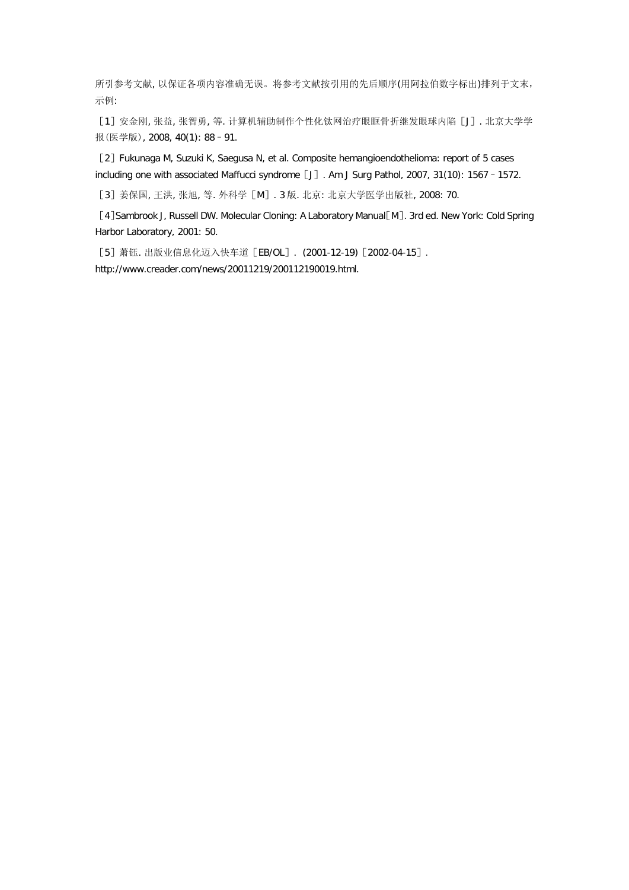所引参考文献, 以保证各项内容准确无误。将参考文献按引用的先后顺序(用阿拉伯数字标出)排列于文末, 示例:

[1]安金刚, 张益, 张智勇, 等. 计算机辅助制作个性化钛网治疗眼眶骨折继发眼球内陷[J]. 北京大学学 报(医学版), 2008, 40(1): 88–91.

[2] Fukunaga M, Suzuki K, Saegusa N, et al. Composite hemangioendothelioma: report of 5 cases including one with associated Maffucci syndrome [J]. Am J Surg Pathol, 2007, 31(10): 1567 - 1572.

[3]姜保国, 王洪, 张旭, 等. 外科学[M]. 3 版. 北京: 北京大学医学出版社, 2008: 70.

[4]Sambrook J, Russell DW. Molecular Cloning: A Laboratory Manual [M]. 3rd ed. New York: Cold Spring Harbor Laboratory, 2001: 50.

[5]萧钰. 出版业信息化迈入快车道[EB/OL]. (2001-12-19)[2002-04-15]. http://www.creader.com/news/20011219/200112190019.html.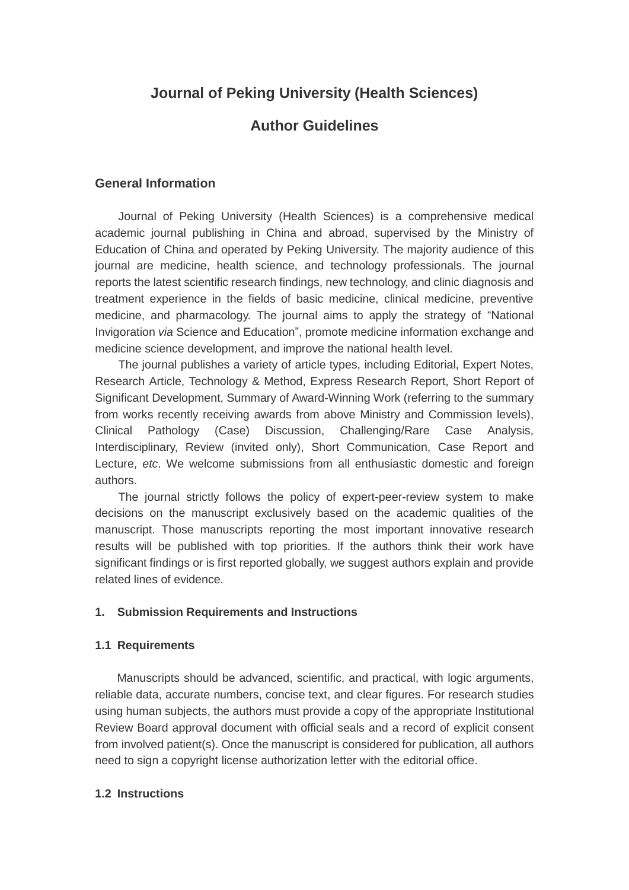# **Journal of Peking University (Health Sciences)**

# **Author Guidelines**

# **General Information**

Journal of Peking University (Health Sciences) is a comprehensive medical academic journal publishing in China and abroad, supervised by the Ministry of Education of China and operated by Peking University. The majority audience of this journal are medicine, health science, and technology professionals. The journal reports the latest scientific research findings, new technology, and clinic diagnosis and treatment experience in the fields of basic medicine, clinical medicine, preventive medicine, and pharmacology. The journal aims to apply the strategy of "National Invigoration *via* Science and Education", promote medicine information exchange and medicine science development, and improve the national health level.

The journal publishes a variety of article types, including Editorial, Expert Notes, Research Article, Technology & Method, Express Research Report, Short Report of Significant Development, Summary of Award-Winning Work (referring to the summary from works recently receiving awards from above Ministry and Commission levels), Clinical Pathology (Case) Discussion, Challenging/Rare Case Analysis, Interdisciplinary, Review (invited only), Short Communication, Case Report and Lecture, *etc*. We welcome submissions from all enthusiastic domestic and foreign authors.

The journal strictly follows the policy of expert-peer-review system to make decisions on the manuscript exclusively based on the academic qualities of the manuscript. Those manuscripts reporting the most important innovative research results will be published with top priorities. If the authors think their work have significant findings or is first reported globally, we suggest authors explain and provide related lines of evidence.

#### **1. Submission Requirements and Instructions**

#### **1.1 Requirements**

Manuscripts should be advanced, scientific, and practical, with logic arguments, reliable data, accurate numbers, concise text, and clear figures. For research studies using human subjects, the authors must provide a copy of the appropriate Institutional Review Board approval document with official seals and a record of explicit consent from involved patient(s). Once the manuscript is considered for publication, all authors need to sign a copyright license authorization letter with the editorial office.

# **1.2 Instructions**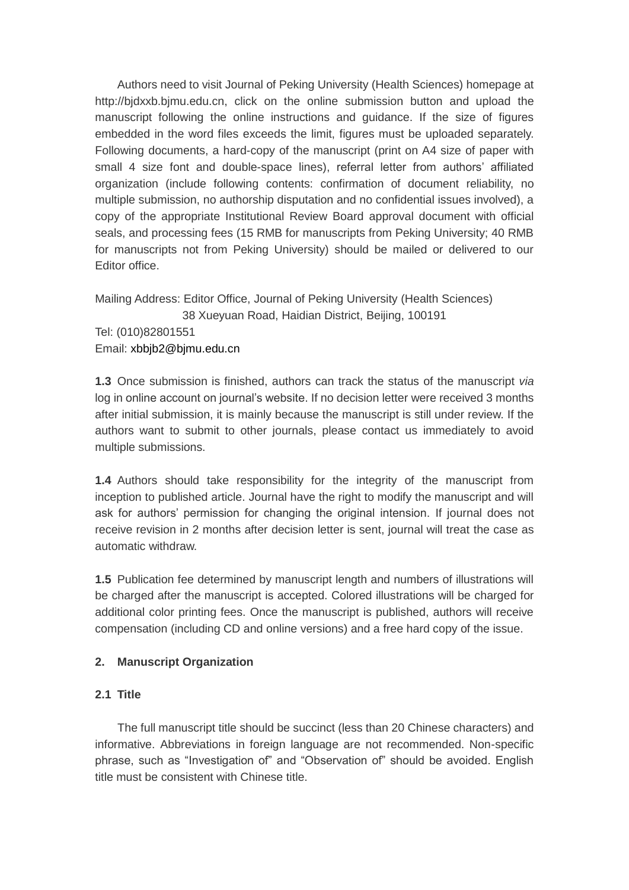Authors need to visit Journal of Peking University (Health Sciences) homepage at [http://bjdxxb.bjmu.edu.cn,](http://bjdxxb.bjmu.edu.cn/) click on the online submission button and upload the manuscript following the online instructions and guidance. If the size of figures embedded in the word files exceeds the limit, figures must be uploaded separately. Following documents, a hard-copy of the manuscript (print on A4 size of paper with small 4 size font and double-space lines), referral letter from authors' affiliated organization (include following contents: confirmation of document reliability, no multiple submission, no authorship disputation and no confidential issues involved), a copy of the appropriate Institutional Review Board approval document with official seals, and processing fees (15 RMB for manuscripts from Peking University; 40 RMB for manuscripts not from Peking University) should be mailed or delivered to our Editor office.

Mailing Address: Editor Office, Journal of Peking University (Health Sciences) 38 Xueyuan Road, Haidian District, Beijing, 100191 Tel: (010)82801551 Email: xbbjb2@bjmu.edu.cn

**1.3** Once submission is finished, authors can track the status of the manuscript *via* log in online account on journal's website. If no decision letter were received 3 months after initial submission, it is mainly because the manuscript is still under review. If the authors want to submit to other journals, please contact us immediately to avoid multiple submissions.

**1.4** Authors should take responsibility for the integrity of the manuscript from inception to published article. Journal have the right to modify the manuscript and will ask for authors' permission for changing the original intension. If journal does not receive revision in 2 months after decision letter is sent, journal will treat the case as automatic withdraw.

**1.5** Publication fee determined by manuscript length and numbers of illustrations will be charged after the manuscript is accepted. Colored illustrations will be charged for additional color printing fees. Once the manuscript is published, authors will receive compensation (including CD and online versions) and a free hard copy of the issue.

# **2. Manuscript Organization**

# **2.1 Title**

The full manuscript title should be succinct (less than 20 Chinese characters) and informative. Abbreviations in foreign language are not recommended. Non-specific phrase, such as "Investigation of" and "Observation of" should be avoided. English title must be consistent with Chinese title.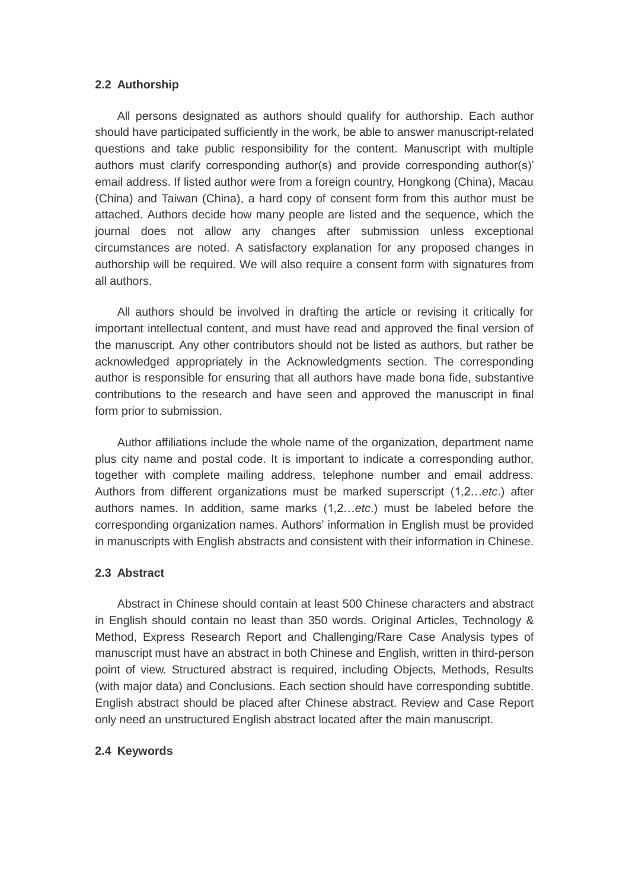#### **2.2 Authorship**

All persons designated as authors should qualify for authorship. Each author should have participated sufficiently in the work, be able to answer manuscript-related questions and take public responsibility for the content. Manuscript with multiple authors must clarify corresponding author(s) and provide corresponding author(s)' email address. If listed author were from a foreign country, Hongkong (China), Macau (China) and Taiwan (China), a hard copy of consent form from this author must be attached. Authors decide how many people are listed and the sequence, which the journal does not allow any changes after submission unless exceptional circumstances are noted. A satisfactory explanation for any proposed changes in authorship will be required. We will also require a consent form with signatures from all authors.

All authors should be involved in drafting the article or revising it critically for important intellectual content, and must have read and approved the final version of the manuscript. Any other contributors should not be listed as authors, but rather be acknowledged appropriately in the Acknowledgments section. The corresponding author is responsible for ensuring that all authors have made bona fide, substantive contributions to the research and have seen and approved the manuscript in final form prior to submission.

Author affiliations include the whole name of the organization, department name plus city name and postal code. It is important to indicate a corresponding author, together with complete mailing address, telephone number and email address. Authors from different organizations must be marked superscript (1,2…*etc*.) after authors names. In addition, same marks (1,2…*etc*.) must be labeled before the corresponding organization names. Authors' information in English must be provided in manuscripts with English abstracts and consistent with their information in Chinese.

#### **2.3 Abstract**

Abstract in Chinese should contain at least 500 Chinese characters and abstract in English should contain no least than 350 words. Original Articles, Technology & Method, Express Research Report and Challenging/Rare Case Analysis types of manuscript must have an abstract in both Chinese and English, written in third-person point of view. Structured abstract is required, including Objects, Methods, Results (with major data) and Conclusions. Each section should have corresponding subtitle. English abstract should be placed after Chinese abstract. Review and Case Report only need an unstructured English abstract located after the main manuscript.

# **2.4 Keywords**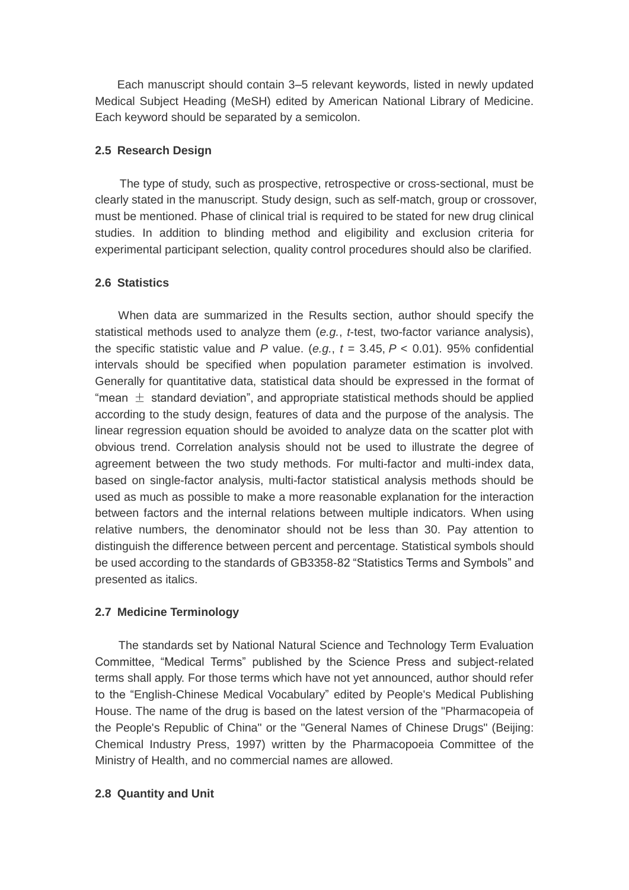Each manuscript should contain 3–5 relevant keywords, listed in newly updated Medical Subject Heading (MeSH) edited by American National Library of Medicine. Each keyword should be separated by a semicolon.

### **2.5 Research Design**

The type of study, such as prospective, retrospective or cross-sectional, must be clearly stated in the manuscript. Study design, such as self-match, group or crossover, must be mentioned. Phase of clinical trial is required to be stated for new drug clinical studies. In addition to blinding method and eligibility and exclusion criteria for experimental participant selection, quality control procedures should also be clarified.

#### **2.6 Statistics**

 When data are summarized in the Results section, author should specify the statistical methods used to analyze them (*e.g.*, *t*-test, two-factor variance analysis), the specific statistic value and *P* value. (*e.g.*,  $t = 3.45$ ,  $P < 0.01$ ). 95% confidential intervals should be specified when population parameter estimation is involved. Generally for quantitative data, statistical data should be expressed in the format of "mean  $\pm$  standard deviation", and appropriate statistical methods should be applied according to the study design, features of data and the purpose of the analysis. The linear regression equation should be avoided to analyze data on the scatter plot with obvious trend. Correlation analysis should not be used to illustrate the degree of agreement between the two study methods. For multi-factor and multi-index data, based on single-factor analysis, multi-factor statistical analysis methods should be used as much as possible to make a more reasonable explanation for the interaction between factors and the internal relations between multiple indicators. When using relative numbers, the denominator should not be less than 30. Pay attention to distinguish the difference between percent and percentage. Statistical symbols should be used according to the standards of GB3358-82 "Statistics Terms and Symbols" and presented as italics.

# **2.7 Medicine Terminology**

The standards set by National Natural Science and Technology Term Evaluation Committee, "Medical Terms" published by the Science Press and subject-related terms shall apply. For those terms which have not yet announced, author should refer to the "English-Chinese Medical Vocabulary" edited by People's Medical Publishing House. The name of the drug is based on the latest version of the "Pharmacopeia of the People's Republic of China" or the "General Names of Chinese Drugs" (Beijing: Chemical Industry Press, 1997) written by the Pharmacopoeia Committee of the Ministry of Health, and no commercial names are allowed.

# **2.8 Quantity and Unit**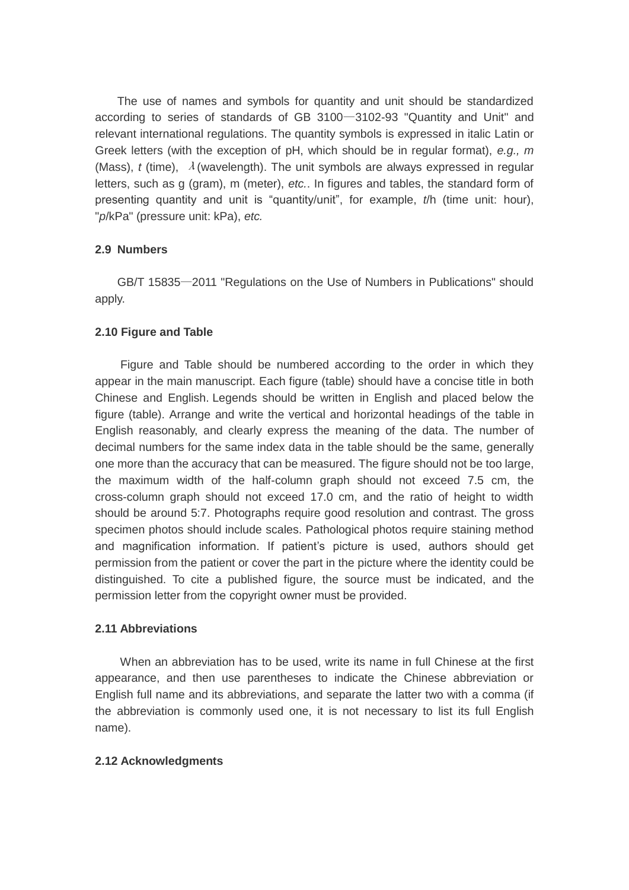The use of names and symbols for quantity and unit should be standardized according to series of standards of GB 3100—3102-93 "Quantity and Unit" and relevant international regulations. The quantity symbols is expressed in italic Latin or Greek letters (with the exception of pH, which should be in regular format), *e.g., m* (Mass),  $t$  (time),  $\lambda$  (wavelength). The unit symbols are always expressed in regular letters, such as g (gram), m (meter), *etc.*. In figures and tables, the standard form of presenting quantity and unit is "quantity/unit", for example, *t*/h (time unit: hour), "*p*/kPa" (pressure unit: kPa), *etc.*

#### **2.9 Numbers**

GB/T 15835—2011 "Regulations on the Use of Numbers in Publications" should apply.

#### **2.10 Figure and Table**

 Figure and Table should be numbered according to the order in which they appear in the main manuscript. Each figure (table) should have a concise title in both Chinese and English. Legends should be written in English and placed below the figure (table). Arrange and write the vertical and horizontal headings of the table in English reasonably, and clearly express the meaning of the data. The number of decimal numbers for the same index data in the table should be the same, generally one more than the accuracy that can be measured. The figure should not be too large, the maximum width of the half-column graph should not exceed 7.5 cm, the cross-column graph should not exceed 17.0 cm, and the ratio of height to width should be around 5:7. Photographs require good resolution and contrast. The gross specimen photos should include scales. Pathological photos require staining method and magnification information. If patient's picture is used, authors should get permission from the patient or cover the part in the picture where the identity could be distinguished. To cite a published figure, the source must be indicated, and the permission letter from the copyright owner must be provided.

### **2.11 Abbreviations**

 When an abbreviation has to be used, write its name in full Chinese at the first appearance, and then use parentheses to indicate the Chinese abbreviation or English full name and its abbreviations, and separate the latter two with a comma (if the abbreviation is commonly used one, it is not necessary to list its full English name).

#### **2.12 Acknowledgments**